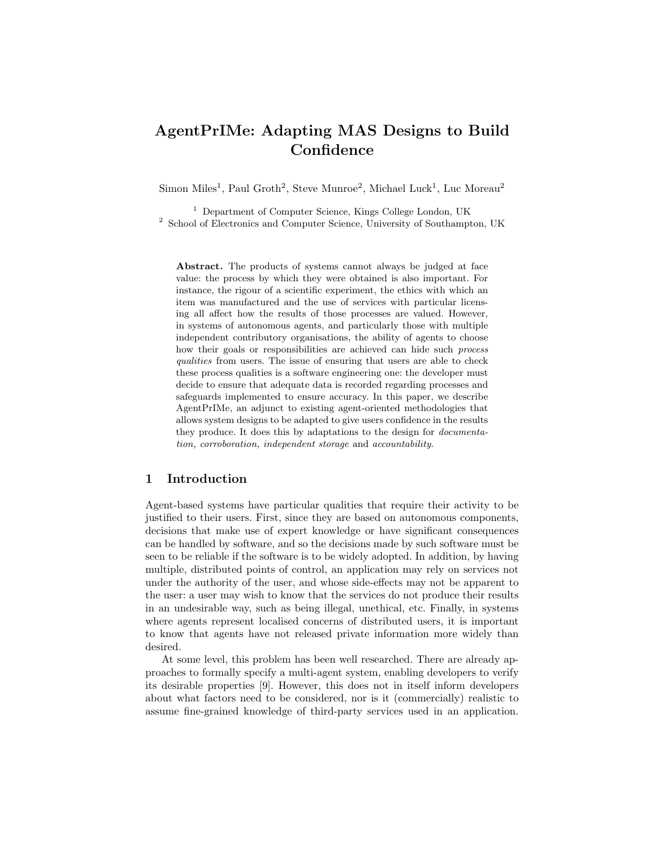# AgentPrIMe: Adapting MAS Designs to Build **Confidence**

Simon Miles<sup>1</sup>, Paul Groth<sup>2</sup>, Steve Munroe<sup>2</sup>, Michael Luck<sup>1</sup>, Luc Moreau<sup>2</sup>

<sup>1</sup> Department of Computer Science, Kings College London, UK <sup>2</sup> School of Electronics and Computer Science, University of Southampton, UK

Abstract. The products of systems cannot always be judged at face value: the process by which they were obtained is also important. For instance, the rigour of a scientific experiment, the ethics with which an item was manufactured and the use of services with particular licensing all affect how the results of those processes are valued. However, in systems of autonomous agents, and particularly those with multiple independent contributory organisations, the ability of agents to choose how their goals or responsibilities are achieved can hide such *process* qualities from users. The issue of ensuring that users are able to check these process qualities is a software engineering one: the developer must decide to ensure that adequate data is recorded regarding processes and safeguards implemented to ensure accuracy. In this paper, we describe AgentPrIMe, an adjunct to existing agent-oriented methodologies that allows system designs to be adapted to give users confidence in the results they produce. It does this by adaptations to the design for documentation, corroboration, independent storage and accountability.

# 1 Introduction

Agent-based systems have particular qualities that require their activity to be justified to their users. First, since they are based on autonomous components, decisions that make use of expert knowledge or have significant consequences can be handled by software, and so the decisions made by such software must be seen to be reliable if the software is to be widely adopted. In addition, by having multiple, distributed points of control, an application may rely on services not under the authority of the user, and whose side-effects may not be apparent to the user: a user may wish to know that the services do not produce their results in an undesirable way, such as being illegal, unethical, etc. Finally, in systems where agents represent localised concerns of distributed users, it is important to know that agents have not released private information more widely than desired.

At some level, this problem has been well researched. There are already approaches to formally specify a multi-agent system, enabling developers to verify its desirable properties [9]. However, this does not in itself inform developers about what factors need to be considered, nor is it (commercially) realistic to assume fine-grained knowledge of third-party services used in an application.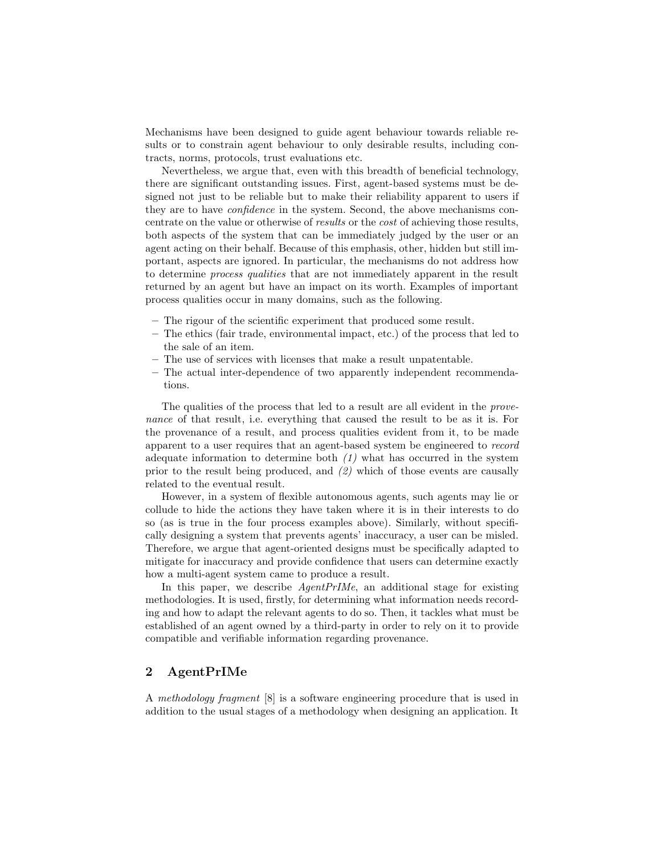Mechanisms have been designed to guide agent behaviour towards reliable results or to constrain agent behaviour to only desirable results, including contracts, norms, protocols, trust evaluations etc.

Nevertheless, we argue that, even with this breadth of beneficial technology, there are significant outstanding issues. First, agent-based systems must be designed not just to be reliable but to make their reliability apparent to users if they are to have confidence in the system. Second, the above mechanisms concentrate on the value or otherwise of results or the cost of achieving those results, both aspects of the system that can be immediately judged by the user or an agent acting on their behalf. Because of this emphasis, other, hidden but still important, aspects are ignored. In particular, the mechanisms do not address how to determine process qualities that are not immediately apparent in the result returned by an agent but have an impact on its worth. Examples of important process qualities occur in many domains, such as the following.

- The rigour of the scientific experiment that produced some result.
- The ethics (fair trade, environmental impact, etc.) of the process that led to the sale of an item.
- The use of services with licenses that make a result unpatentable.
- The actual inter-dependence of two apparently independent recommendations.

The qualities of the process that led to a result are all evident in the provenance of that result, i.e. everything that caused the result to be as it is. For the provenance of a result, and process qualities evident from it, to be made apparent to a user requires that an agent-based system be engineered to record adequate information to determine both  $(1)$  what has occurred in the system prior to the result being produced, and (2) which of those events are causally related to the eventual result.

However, in a system of flexible autonomous agents, such agents may lie or collude to hide the actions they have taken where it is in their interests to do so (as is true in the four process examples above). Similarly, without specifically designing a system that prevents agents' inaccuracy, a user can be misled. Therefore, we argue that agent-oriented designs must be specifically adapted to mitigate for inaccuracy and provide confidence that users can determine exactly how a multi-agent system came to produce a result.

In this paper, we describe  $AgentPrIME$ , an additional stage for existing methodologies. It is used, firstly, for determining what information needs recording and how to adapt the relevant agents to do so. Then, it tackles what must be established of an agent owned by a third-party in order to rely on it to provide compatible and verifiable information regarding provenance.

# 2 AgentPrIMe

A methodology fragment [8] is a software engineering procedure that is used in addition to the usual stages of a methodology when designing an application. It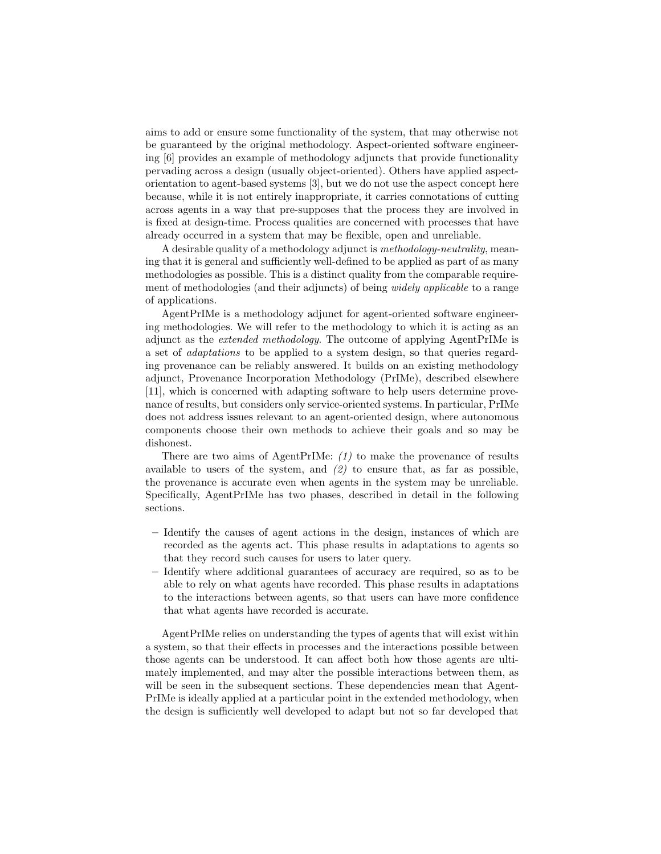aims to add or ensure some functionality of the system, that may otherwise not be guaranteed by the original methodology. Aspect-oriented software engineering [6] provides an example of methodology adjuncts that provide functionality pervading across a design (usually object-oriented). Others have applied aspectorientation to agent-based systems [3], but we do not use the aspect concept here because, while it is not entirely inappropriate, it carries connotations of cutting across agents in a way that pre-supposes that the process they are involved in is fixed at design-time. Process qualities are concerned with processes that have already occurred in a system that may be flexible, open and unreliable.

A desirable quality of a methodology adjunct is methodology-neutrality, meaning that it is general and sufficiently well-defined to be applied as part of as many methodologies as possible. This is a distinct quality from the comparable requirement of methodologies (and their adjuncts) of being widely applicable to a range of applications.

AgentPrIMe is a methodology adjunct for agent-oriented software engineering methodologies. We will refer to the methodology to which it is acting as an adjunct as the extended methodology. The outcome of applying AgentPrIMe is a set of adaptations to be applied to a system design, so that queries regarding provenance can be reliably answered. It builds on an existing methodology adjunct, Provenance Incorporation Methodology (PrIMe), described elsewhere [11], which is concerned with adapting software to help users determine provenance of results, but considers only service-oriented systems. In particular, PrIMe does not address issues relevant to an agent-oriented design, where autonomous components choose their own methods to achieve their goals and so may be dishonest.

There are two aims of AgentPrIMe: (1) to make the provenance of results available to users of the system, and  $(2)$  to ensure that, as far as possible, the provenance is accurate even when agents in the system may be unreliable. Specifically, AgentPrIMe has two phases, described in detail in the following sections.

- Identify the causes of agent actions in the design, instances of which are recorded as the agents act. This phase results in adaptations to agents so that they record such causes for users to later query.
- Identify where additional guarantees of accuracy are required, so as to be able to rely on what agents have recorded. This phase results in adaptations to the interactions between agents, so that users can have more confidence that what agents have recorded is accurate.

AgentPrIMe relies on understanding the types of agents that will exist within a system, so that their effects in processes and the interactions possible between those agents can be understood. It can affect both how those agents are ultimately implemented, and may alter the possible interactions between them, as will be seen in the subsequent sections. These dependencies mean that Agent-PrIMe is ideally applied at a particular point in the extended methodology, when the design is sufficiently well developed to adapt but not so far developed that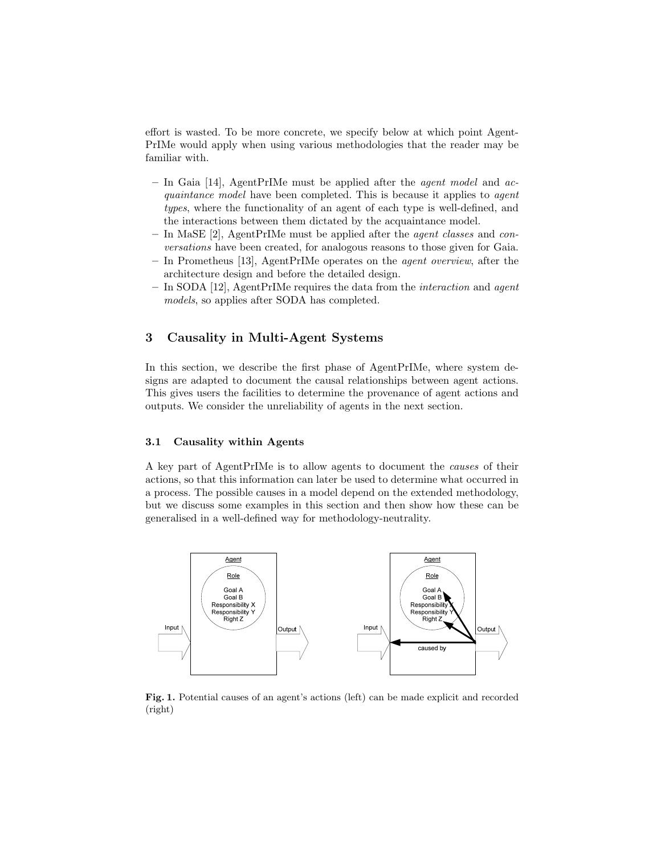effort is wasted. To be more concrete, we specify below at which point Agent-PrIMe would apply when using various methodologies that the reader may be familiar with.

- In Gaia [14], AgentPrIMe must be applied after the agent model and acquaintance model have been completed. This is because it applies to agent types, where the functionality of an agent of each type is well-defined, and the interactions between them dictated by the acquaintance model.
- In MaSE [2], AgentPrIMe must be applied after the agent classes and conversations have been created, for analogous reasons to those given for Gaia.
- In Prometheus [13], AgentPrIMe operates on the agent overview, after the architecture design and before the detailed design.
- In SODA [12], AgentPrIMe requires the data from the *interaction* and *agent* models, so applies after SODA has completed.

# 3 Causality in Multi-Agent Systems

In this section, we describe the first phase of AgentPrIMe, where system designs are adapted to document the causal relationships between agent actions. This gives users the facilities to determine the provenance of agent actions and outputs. We consider the unreliability of agents in the next section.

### 3.1 Causality within Agents

A key part of AgentPrIMe is to allow agents to document the causes of their actions, so that this information can later be used to determine what occurred in a process. The possible causes in a model depend on the extended methodology, but we discuss some examples in this section and then show how these can be generalised in a well-defined way for methodology-neutrality.



Fig. 1. Potential causes of an agent's actions (left) can be made explicit and recorded (right)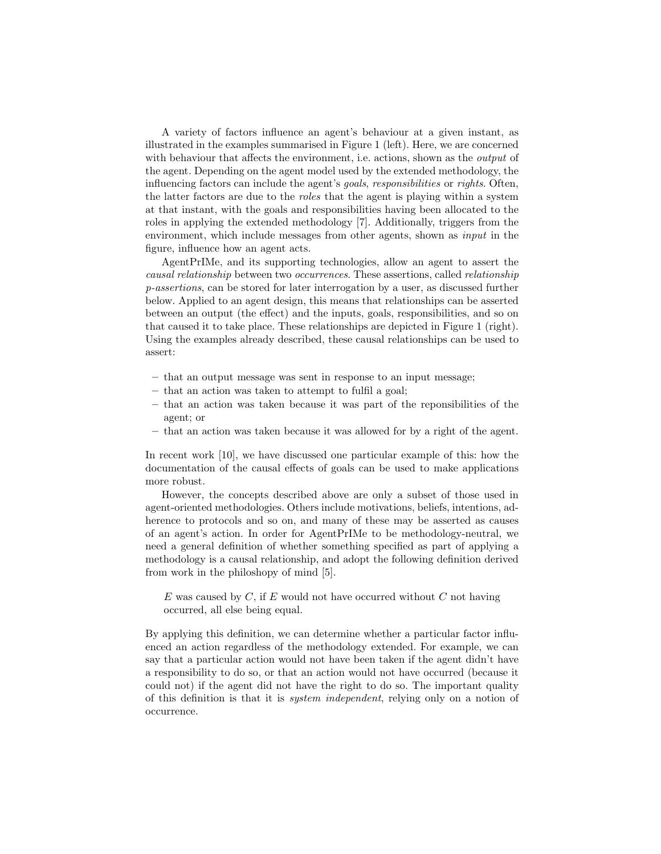A variety of factors influence an agent's behaviour at a given instant, as illustrated in the examples summarised in Figure 1 (left). Here, we are concerned with behaviour that affects the environment, i.e. actions, shown as the *output* of the agent. Depending on the agent model used by the extended methodology, the influencing factors can include the agent's goals, responsibilities or rights. Often, the latter factors are due to the roles that the agent is playing within a system at that instant, with the goals and responsibilities having been allocated to the roles in applying the extended methodology [7]. Additionally, triggers from the environment, which include messages from other agents, shown as input in the figure, influence how an agent acts.

AgentPrIMe, and its supporting technologies, allow an agent to assert the causal relationship between two occurrences. These assertions, called relationship p-assertions, can be stored for later interrogation by a user, as discussed further below. Applied to an agent design, this means that relationships can be asserted between an output (the effect) and the inputs, goals, responsibilities, and so on that caused it to take place. These relationships are depicted in Figure 1 (right). Using the examples already described, these causal relationships can be used to assert:

- that an output message was sent in response to an input message;
- that an action was taken to attempt to fulfil a goal;
- that an action was taken because it was part of the reponsibilities of the agent; or
- that an action was taken because it was allowed for by a right of the agent.

In recent work [10], we have discussed one particular example of this: how the documentation of the causal effects of goals can be used to make applications more robust.

However, the concepts described above are only a subset of those used in agent-oriented methodologies. Others include motivations, beliefs, intentions, adherence to protocols and so on, and many of these may be asserted as causes of an agent's action. In order for AgentPrIMe to be methodology-neutral, we need a general definition of whether something specified as part of applying a methodology is a causal relationship, and adopt the following definition derived from work in the philoshopy of mind [5].

 $E$  was caused by  $C$ , if  $E$  would not have occurred without  $C$  not having occurred, all else being equal.

By applying this definition, we can determine whether a particular factor influenced an action regardless of the methodology extended. For example, we can say that a particular action would not have been taken if the agent didn't have a responsibility to do so, or that an action would not have occurred (because it could not) if the agent did not have the right to do so. The important quality of this definition is that it is system independent, relying only on a notion of occurrence.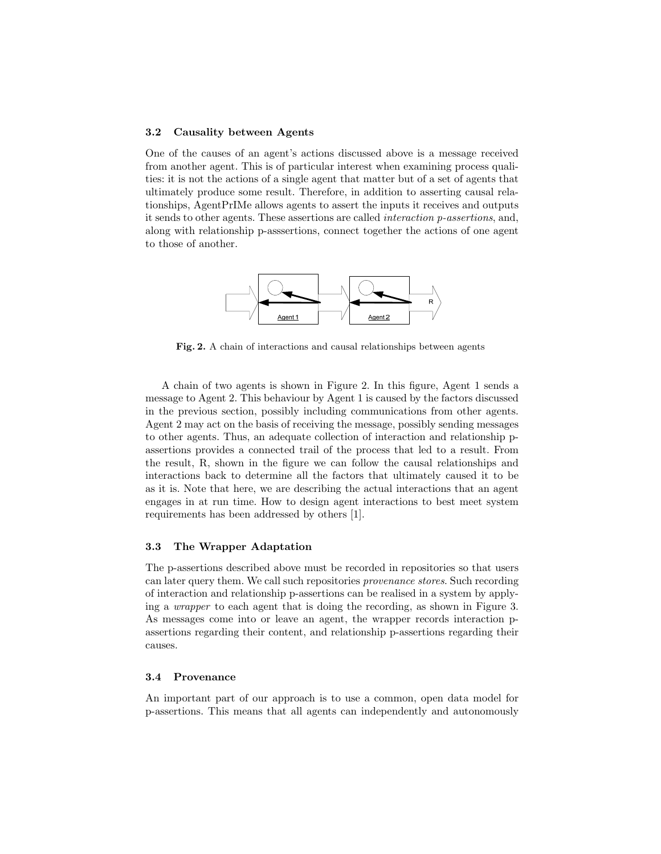#### 3.2 Causality between Agents

One of the causes of an agent's actions discussed above is a message received from another agent. This is of particular interest when examining process qualities: it is not the actions of a single agent that matter but of a set of agents that ultimately produce some result. Therefore, in addition to asserting causal relationships, AgentPrIMe allows agents to assert the inputs it receives and outputs it sends to other agents. These assertions are called interaction p-assertions, and, along with relationship p-asssertions, connect together the actions of one agent to those of another.



Fig. 2. A chain of interactions and causal relationships between agents

A chain of two agents is shown in Figure 2. In this figure, Agent 1 sends a message to Agent 2. This behaviour by Agent 1 is caused by the factors discussed in the previous section, possibly including communications from other agents. Agent 2 may act on the basis of receiving the message, possibly sending messages to other agents. Thus, an adequate collection of interaction and relationship passertions provides a connected trail of the process that led to a result. From the result, R, shown in the figure we can follow the causal relationships and interactions back to determine all the factors that ultimately caused it to be as it is. Note that here, we are describing the actual interactions that an agent engages in at run time. How to design agent interactions to best meet system requirements has been addressed by others [1].

#### 3.3 The Wrapper Adaptation

The p-assertions described above must be recorded in repositories so that users can later query them. We call such repositories provenance stores. Such recording of interaction and relationship p-assertions can be realised in a system by applying a wrapper to each agent that is doing the recording, as shown in Figure 3. As messages come into or leave an agent, the wrapper records interaction passertions regarding their content, and relationship p-assertions regarding their causes.

#### 3.4 Provenance

An important part of our approach is to use a common, open data model for p-assertions. This means that all agents can independently and autonomously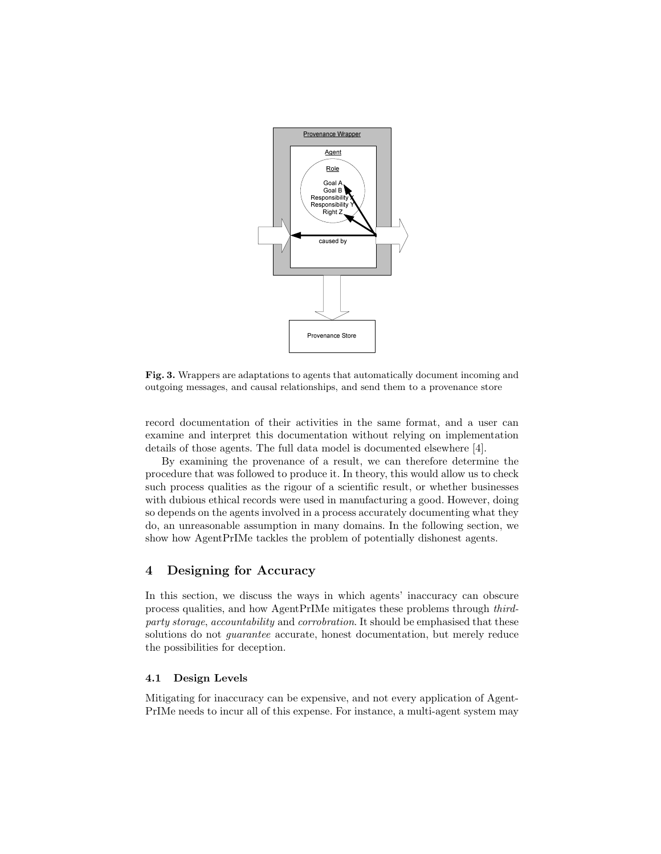

Fig. 3. Wrappers are adaptations to agents that automatically document incoming and outgoing messages, and causal relationships, and send them to a provenance store

record documentation of their activities in the same format, and a user can examine and interpret this documentation without relying on implementation details of those agents. The full data model is documented elsewhere [4].

By examining the provenance of a result, we can therefore determine the procedure that was followed to produce it. In theory, this would allow us to check such process qualities as the rigour of a scientific result, or whether businesses with dubious ethical records were used in manufacturing a good. However, doing so depends on the agents involved in a process accurately documenting what they do, an unreasonable assumption in many domains. In the following section, we show how AgentPrIMe tackles the problem of potentially dishonest agents.

# 4 Designing for Accuracy

In this section, we discuss the ways in which agents' inaccuracy can obscure process qualities, and how AgentPrIMe mitigates these problems through thirdparty storage, accountability and corrobration. It should be emphasised that these solutions do not guarantee accurate, honest documentation, but merely reduce the possibilities for deception.

#### 4.1 Design Levels

Mitigating for inaccuracy can be expensive, and not every application of Agent-PrIMe needs to incur all of this expense. For instance, a multi-agent system may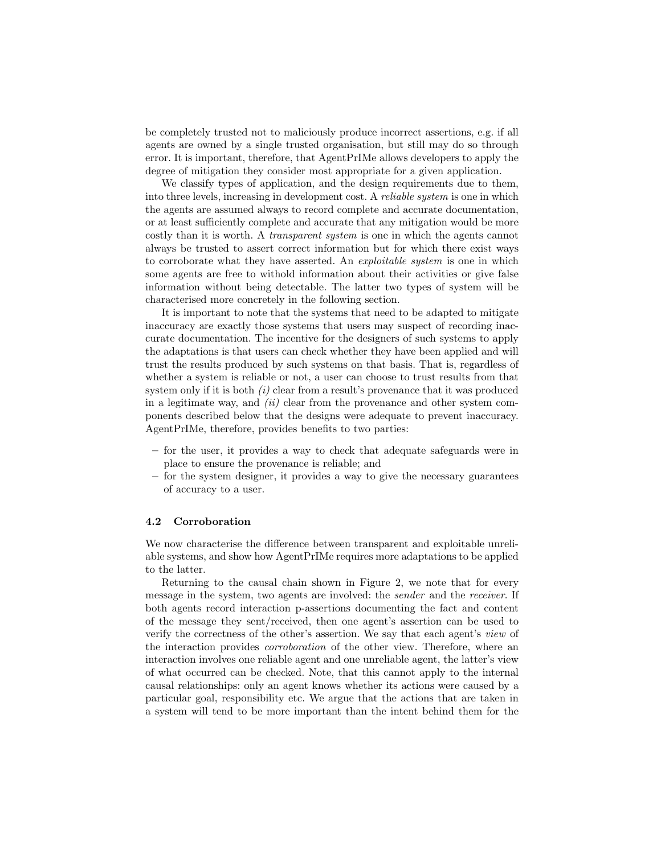be completely trusted not to maliciously produce incorrect assertions, e.g. if all agents are owned by a single trusted organisation, but still may do so through error. It is important, therefore, that AgentPrIMe allows developers to apply the degree of mitigation they consider most appropriate for a given application.

We classify types of application, and the design requirements due to them, into three levels, increasing in development cost. A reliable system is one in which the agents are assumed always to record complete and accurate documentation, or at least sufficiently complete and accurate that any mitigation would be more costly than it is worth. A *transparent system* is one in which the agents cannot always be trusted to assert correct information but for which there exist ways to corroborate what they have asserted. An *exploitable system* is one in which some agents are free to withold information about their activities or give false information without being detectable. The latter two types of system will be characterised more concretely in the following section.

It is important to note that the systems that need to be adapted to mitigate inaccuracy are exactly those systems that users may suspect of recording inaccurate documentation. The incentive for the designers of such systems to apply the adaptations is that users can check whether they have been applied and will trust the results produced by such systems on that basis. That is, regardless of whether a system is reliable or not, a user can choose to trust results from that system only if it is both  $(i)$  clear from a result's provenance that it was produced in a legitimate way, and  $(ii)$  clear from the provenance and other system components described below that the designs were adequate to prevent inaccuracy. AgentPrIMe, therefore, provides benefits to two parties:

- for the user, it provides a way to check that adequate safeguards were in place to ensure the provenance is reliable; and
- for the system designer, it provides a way to give the necessary guarantees of accuracy to a user.

#### 4.2 Corroboration

We now characterise the difference between transparent and exploitable unreliable systems, and show how AgentPrIMe requires more adaptations to be applied to the latter.

Returning to the causal chain shown in Figure 2, we note that for every message in the system, two agents are involved: the sender and the receiver. If both agents record interaction p-assertions documenting the fact and content of the message they sent/received, then one agent's assertion can be used to verify the correctness of the other's assertion. We say that each agent's view of the interaction provides corroboration of the other view. Therefore, where an interaction involves one reliable agent and one unreliable agent, the latter's view of what occurred can be checked. Note, that this cannot apply to the internal causal relationships: only an agent knows whether its actions were caused by a particular goal, responsibility etc. We argue that the actions that are taken in a system will tend to be more important than the intent behind them for the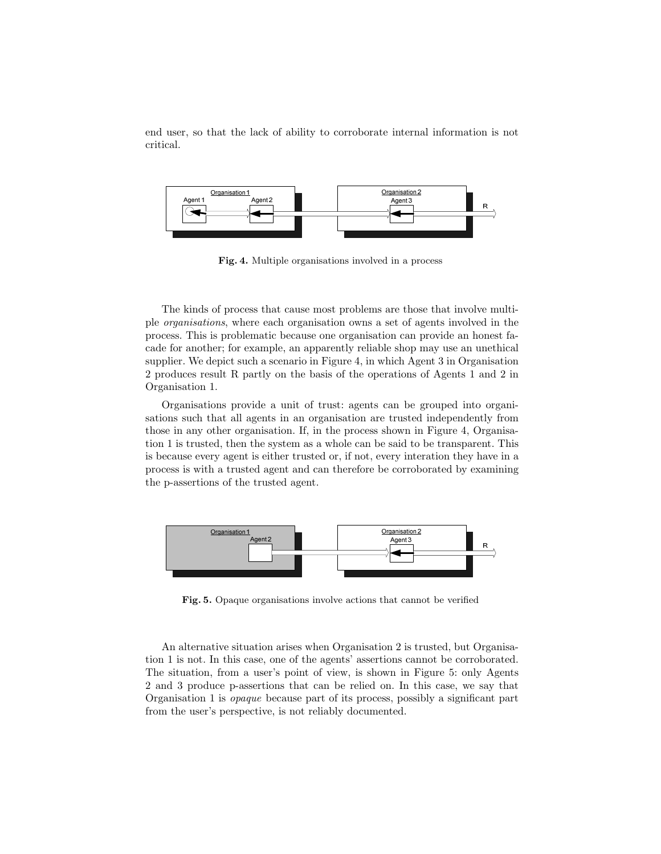end user, so that the lack of ability to corroborate internal information is not critical.



Fig. 4. Multiple organisations involved in a process

The kinds of process that cause most problems are those that involve multiple organisations, where each organisation owns a set of agents involved in the process. This is problematic because one organisation can provide an honest facade for another; for example, an apparently reliable shop may use an unethical supplier. We depict such a scenario in Figure 4, in which Agent 3 in Organisation 2 produces result R partly on the basis of the operations of Agents 1 and 2 in Organisation 1.

Organisations provide a unit of trust: agents can be grouped into organisations such that all agents in an organisation are trusted independently from those in any other organisation. If, in the process shown in Figure 4, Organisation 1 is trusted, then the system as a whole can be said to be transparent. This is because every agent is either trusted or, if not, every interation they have in a process is with a trusted agent and can therefore be corroborated by examining the p-assertions of the trusted agent.



Fig. 5. Opaque organisations involve actions that cannot be verified

An alternative situation arises when Organisation 2 is trusted, but Organisation 1 is not. In this case, one of the agents' assertions cannot be corroborated. The situation, from a user's point of view, is shown in Figure 5: only Agents 2 and 3 produce p-assertions that can be relied on. In this case, we say that Organisation 1 is opaque because part of its process, possibly a significant part from the user's perspective, is not reliably documented.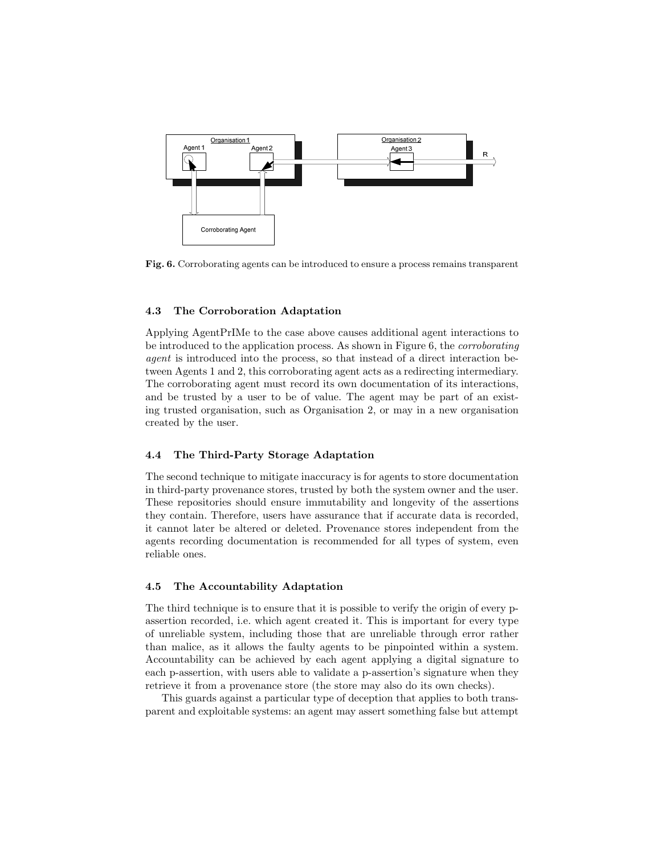

Fig. 6. Corroborating agents can be introduced to ensure a process remains transparent

#### 4.3 The Corroboration Adaptation

Applying AgentPrIMe to the case above causes additional agent interactions to be introduced to the application process. As shown in Figure 6, the corroborating agent is introduced into the process, so that instead of a direct interaction between Agents 1 and 2, this corroborating agent acts as a redirecting intermediary. The corroborating agent must record its own documentation of its interactions, and be trusted by a user to be of value. The agent may be part of an existing trusted organisation, such as Organisation 2, or may in a new organisation created by the user.

#### 4.4 The Third-Party Storage Adaptation

The second technique to mitigate inaccuracy is for agents to store documentation in third-party provenance stores, trusted by both the system owner and the user. These repositories should ensure immutability and longevity of the assertions they contain. Therefore, users have assurance that if accurate data is recorded, it cannot later be altered or deleted. Provenance stores independent from the agents recording documentation is recommended for all types of system, even reliable ones.

#### 4.5 The Accountability Adaptation

The third technique is to ensure that it is possible to verify the origin of every passertion recorded, i.e. which agent created it. This is important for every type of unreliable system, including those that are unreliable through error rather than malice, as it allows the faulty agents to be pinpointed within a system. Accountability can be achieved by each agent applying a digital signature to each p-assertion, with users able to validate a p-assertion's signature when they retrieve it from a provenance store (the store may also do its own checks).

This guards against a particular type of deception that applies to both transparent and exploitable systems: an agent may assert something false but attempt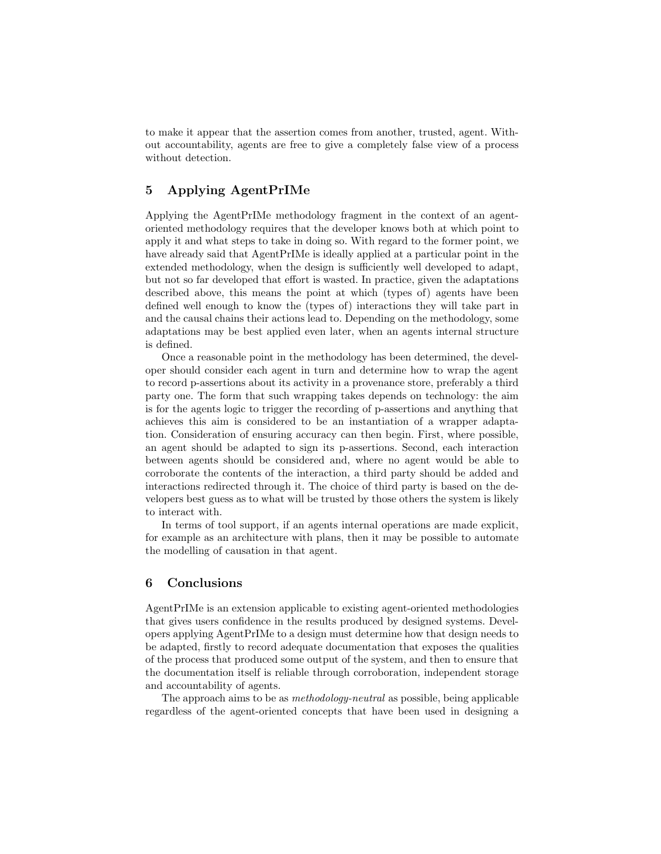to make it appear that the assertion comes from another, trusted, agent. Without accountability, agents are free to give a completely false view of a process without detection.

# 5 Applying AgentPrIMe

Applying the AgentPrIMe methodology fragment in the context of an agentoriented methodology requires that the developer knows both at which point to apply it and what steps to take in doing so. With regard to the former point, we have already said that AgentPrIMe is ideally applied at a particular point in the extended methodology, when the design is sufficiently well developed to adapt, but not so far developed that effort is wasted. In practice, given the adaptations described above, this means the point at which (types of) agents have been defined well enough to know the (types of) interactions they will take part in and the causal chains their actions lead to. Depending on the methodology, some adaptations may be best applied even later, when an agents internal structure is defined.

Once a reasonable point in the methodology has been determined, the developer should consider each agent in turn and determine how to wrap the agent to record p-assertions about its activity in a provenance store, preferably a third party one. The form that such wrapping takes depends on technology: the aim is for the agents logic to trigger the recording of p-assertions and anything that achieves this aim is considered to be an instantiation of a wrapper adaptation. Consideration of ensuring accuracy can then begin. First, where possible, an agent should be adapted to sign its p-assertions. Second, each interaction between agents should be considered and, where no agent would be able to corroborate the contents of the interaction, a third party should be added and interactions redirected through it. The choice of third party is based on the developers best guess as to what will be trusted by those others the system is likely to interact with.

In terms of tool support, if an agents internal operations are made explicit, for example as an architecture with plans, then it may be possible to automate the modelling of causation in that agent.

### 6 Conclusions

AgentPrIMe is an extension applicable to existing agent-oriented methodologies that gives users confidence in the results produced by designed systems. Developers applying AgentPrIMe to a design must determine how that design needs to be adapted, firstly to record adequate documentation that exposes the qualities of the process that produced some output of the system, and then to ensure that the documentation itself is reliable through corroboration, independent storage and accountability of agents.

The approach aims to be as methodology-neutral as possible, being applicable regardless of the agent-oriented concepts that have been used in designing a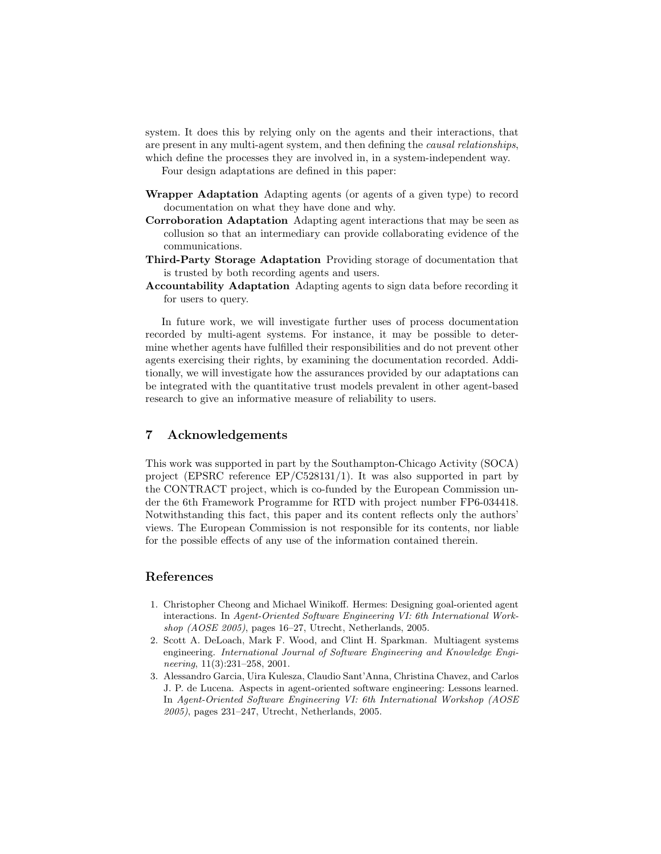system. It does this by relying only on the agents and their interactions, that are present in any multi-agent system, and then defining the causal relationships, which define the processes they are involved in, in a system-independent way.

Four design adaptations are defined in this paper:

- Wrapper Adaptation Adapting agents (or agents of a given type) to record documentation on what they have done and why.
- Corroboration Adaptation Adapting agent interactions that may be seen as collusion so that an intermediary can provide collaborating evidence of the communications.
- Third-Party Storage Adaptation Providing storage of documentation that is trusted by both recording agents and users.
- Accountability Adaptation Adapting agents to sign data before recording it for users to query.

In future work, we will investigate further uses of process documentation recorded by multi-agent systems. For instance, it may be possible to determine whether agents have fulfilled their responsibilities and do not prevent other agents exercising their rights, by examining the documentation recorded. Additionally, we will investigate how the assurances provided by our adaptations can be integrated with the quantitative trust models prevalent in other agent-based research to give an informative measure of reliability to users.

# 7 Acknowledgements

This work was supported in part by the Southampton-Chicago Activity (SOCA) project (EPSRC reference EP/C528131/1). It was also supported in part by the CONTRACT project, which is co-funded by the European Commission under the 6th Framework Programme for RTD with project number FP6-034418. Notwithstanding this fact, this paper and its content reflects only the authors' views. The European Commission is not responsible for its contents, nor liable for the possible effects of any use of the information contained therein.

### References

- 1. Christopher Cheong and Michael Winikoff. Hermes: Designing goal-oriented agent interactions. In Agent-Oriented Software Engineering VI: 6th International Workshop (AOSE 2005), pages 16–27, Utrecht, Netherlands, 2005.
- 2. Scott A. DeLoach, Mark F. Wood, and Clint H. Sparkman. Multiagent systems engineering. International Journal of Software Engineering and Knowledge Engineering, 11(3):231–258, 2001.
- 3. Alessandro Garcia, Uira Kulesza, Claudio Sant'Anna, Christina Chavez, and Carlos J. P. de Lucena. Aspects in agent-oriented software engineering: Lessons learned. In Agent-Oriented Software Engineering VI: 6th International Workshop (AOSE 2005), pages 231–247, Utrecht, Netherlands, 2005.